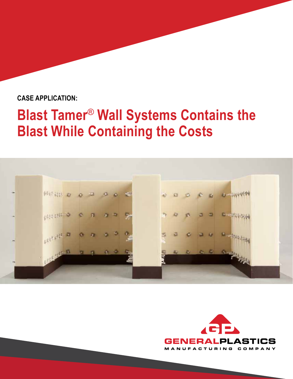### **CASE APPLICATION:**

# **Blast Tamer**® **Wall Systems Contains the Blast While Containing the Costs**





<u> London (</u>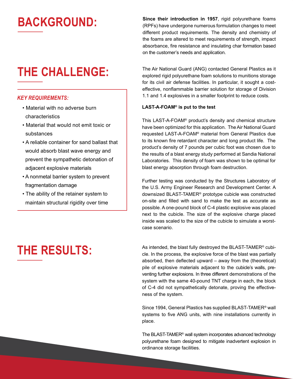## **BACKGROUND:**

### **THE CHALLENGE:**

#### *KEY REQUIREMENTS:*

- Material with no adverse burn characteristics
- Material that would not emit toxic or substances
- A reliable container for sand ballast that would absorb blast wave energy and prevent the sympathetic detonation of adjacent explosive materials
- A nonmetal barrier system to prevent fragmentation damage
- The ability of the retainer system to maintain structural rigidity over time

# **THE RESULTS:**

**Since their introduction in 1957**, rigid polyurethane foams (RPFs) have undergone numerous formulation changes to meet different product requirements. The density and chemistry of the foams are altered to meet requirements of strength, impact absorbance, fire resistance and insulating char formation based on the customer's needs and application.

The Air National Guard (ANG) contacted General Plastics as it explored rigid polyurethane foam solutions to munitions storage for its civil air defense facilities. In particular, it sought a costeffective, nonflammable barrier solution for storage of Division 1.1 and 1.4 explosives in a smaller footprint to reduce costs.

#### **LAST-A-FOAM® is put to the test**

This LAST-A-FOAM® product's density and chemical structure have been optimized for this application. The Air National Guard requested LAST-A-FOAM® material from General Plastics due to its known fire retardant character and long product life. The product's density of 7 pounds per cubic foot was chosen due to the results of a blast energy study performed at Sandia National Laboratories. This density of foam was shown to be optimal for blast energy absorption through foam destruction.

Further testing was conducted by the Structures Laboratory of the U.S. Army Engineer Research and Development Center. A downsized BLAST-TAMER® prototype cubicle was constructed on-site and filled with sand to make the test as accurate as possible. A one-pound block of C-4 plastic explosive was placed next to the cubicle. The size of the explosive charge placed inside was scaled to the size of the cubicle to simulate a worstcase scenario.

As intended, the blast fully destroyed the BLAST-TAMER® cubicle. In the process, the explosive force of the blast was partially absorbed, then deflected upward – away from the (theoretical) pile of explosive materials adjacent to the cubicle's walls, preventing further explosions. In three different demonstrations of the system with the same 40-pound TNT charge in each, the block of C-4 did not sympathetically detonate, proving the effectiveness of the system.

Since 1994, General Plastics has supplied BLAST-TAMER® wall systems to five ANG units, with nine installations currently in place.

The BLAST-TAMER® wall system incorporates advanced technology polyurethane foam designed to mitigate inadvertent explosion in ordinance storage facilities.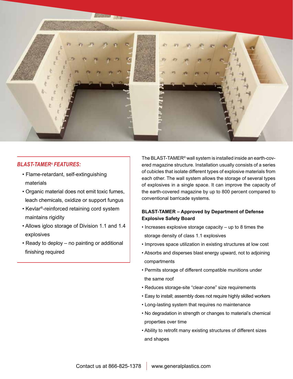

#### *BLAST-TAMER*® *FEATURES:*

- Flame-retardant, self-extinguishing materials
- Organic material does not emit toxic fumes, leach chemicals, oxidize or support fungus
- Kevlar®-reinforced retaining cord system maintains rigidity
- Allows igloo storage of Division 1.1 and 1.4 explosives
- Ready to deploy no painting or additional finishing required

The BLAST-TAMER® wall system is installed inside an earth-covered magazine structure. Installation usually consists of a series of cubicles that isolate different types of explosive materials from each other. The wall system allows the storage of several types of explosives in a single space. It can improve the capacity of the earth-covered magazine by up to 800 percent compared to conventional barricade systems.

#### **BLAST-TAMER – Approved by Department of Defense Explosive Safety Board**

- Increases explosive storage capacity up to 8 times the storage density of class 1.1 explosives
- Improves space utilization in existing structures at low cost
- Absorbs and disperses blast energy upward, not to adjoining compartments
- Permits storage of different compatible munitions under the same roof
- Reduces storage-site "clear-zone" size requirements
- Easy to install; assembly does not require highly skilled workers
- Long-lasting system that requires no maintenance
- No degradation in strength or changes to material's chemical properties over time
- Ability to retrofit many existing structures of different sizes and shapes